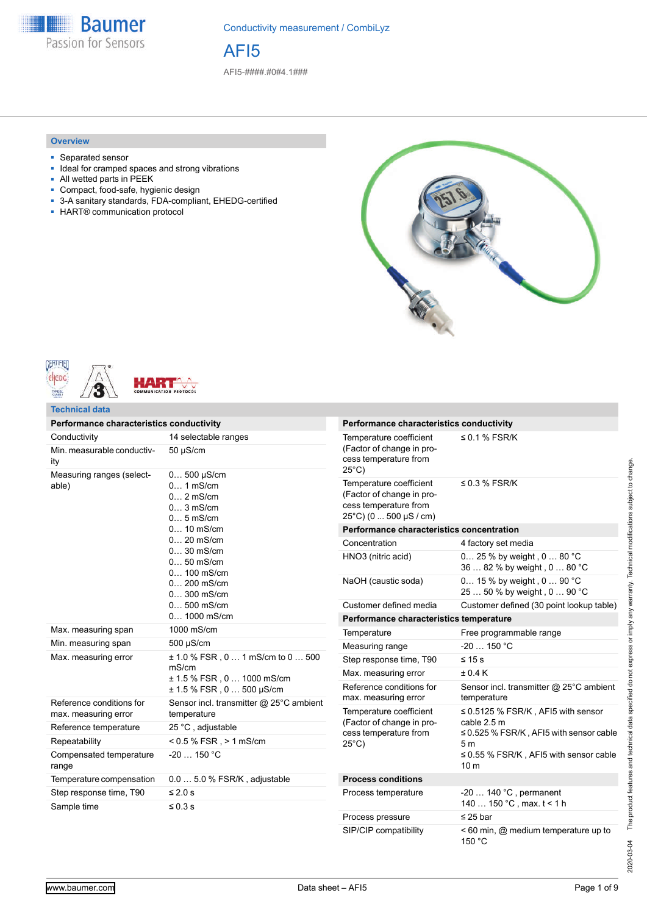

AFI5

AFI5-####.#0#4.1###

#### **Overview**

- Separated sensor
- Ideal for cramped spaces and strong vibrations
- All wetted parts in PEEK
- Compact, food-safe, hygienic design
- 3-A sanitary standards, FDA-compliant, EHEDG-certified
- HART<sup>®</sup> communication protocol







**Technical data**

| Performance characteristics conductivity         |                                                                                                                                                                                                                                     |
|--------------------------------------------------|-------------------------------------------------------------------------------------------------------------------------------------------------------------------------------------------------------------------------------------|
| Conductivity                                     | 14 selectable ranges                                                                                                                                                                                                                |
| Min. measurable conductiv-<br>ity                | 50 µS/cm                                                                                                                                                                                                                            |
| Measuring ranges (select-<br>able)               | $0 500 \,\mu\text{S/cm}$<br>0 1 mS/cm<br>$0 2$ mS/cm<br>$03$ mS/cm<br>$05$ mS/cm<br>$0 10$ mS/cm<br>$0 20$ mS/cm<br>$030$ mS/cm<br>$050$ mS/cm<br>$0 100$ mS/cm<br>$0 200$ mS/cm<br>$0300$ mS/cm<br>$0 500$ mS/cm<br>$0 1000$ mS/cm |
| Max. measuring span                              | 1000 mS/cm                                                                                                                                                                                                                          |
| Min. measuring span                              | 500 µS/cm                                                                                                                                                                                                                           |
| Max. measuring error                             | $\pm$ 1.0 % FSR, 0 1 mS/cm to 0 500<br>mS/cm<br>± 1.5 % FSR, 0  1000 mS/cm<br>± 1.5 % FSR, 0  500 µS/cm                                                                                                                             |
| Reference conditions for<br>max. measuring error | Sensor incl. transmitter @ 25°C ambient<br>temperature                                                                                                                                                                              |
| Reference temperature                            | 25 °C, adjustable                                                                                                                                                                                                                   |
| Repeatability                                    | $< 0.5$ % FSR, $> 1$ mS/cm                                                                                                                                                                                                          |
| Compensated temperature<br>range                 | $-20150 °C$                                                                                                                                                                                                                         |
| Temperature compensation                         | 0.0  5.0 % FSR/K, adjustable                                                                                                                                                                                                        |
| Step response time, T90                          | ≤ 2.0 s                                                                                                                                                                                                                             |
| Sample time                                      | $\leq 0.3$ s                                                                                                                                                                                                                        |

| Performance characteristics conductivity                                                                          |                                                                                                                                                                     |
|-------------------------------------------------------------------------------------------------------------------|---------------------------------------------------------------------------------------------------------------------------------------------------------------------|
| Temperature coefficient<br>(Factor of change in pro-<br>cess temperature from<br>$25^{\circ}$ C)                  | $\leq$ 0.1 % FSR/K                                                                                                                                                  |
| Temperature coefficient<br>(Factor of change in pro-<br>cess temperature from<br>$25^{\circ}$ C) (0  500 µS / cm) | $\leq$ 0.3 % FSR/K                                                                                                                                                  |
| Performance characteristics concentration                                                                         |                                                                                                                                                                     |
| Concentration                                                                                                     | 4 factory set media                                                                                                                                                 |
| HNO3 (nitric acid)                                                                                                | 0 25 % by weight, 0  80 °C<br>36  82 % by weight, 0  80 °C                                                                                                          |
| NaOH (caustic soda)                                                                                               | 0 15 % by weight, 0  90 °C<br>25  50 % by weight, 0  90 °C                                                                                                          |
| Customer defined media                                                                                            | Customer defined (30 point lookup table)                                                                                                                            |
| Performance characteristics temperature                                                                           |                                                                                                                                                                     |
| Temperature                                                                                                       | Free programmable range                                                                                                                                             |
| Measuring range                                                                                                   | $-20$ 150 °C                                                                                                                                                        |
| Step response time, T90                                                                                           | ≤ 15 s                                                                                                                                                              |
| Max. measuring error                                                                                              | $+0.4K$                                                                                                                                                             |
| Reference conditions for<br>max. measuring error                                                                  | Sensor incl. transmitter @ 25°C ambient<br>temperature                                                                                                              |
| Temperature coefficient<br>(Factor of change in pro-<br>cess temperature from<br>$25^{\circ}$ C)                  | $\leq$ 0.5125 % FSR/K, AFI5 with sensor<br>cable 2.5 m<br>$\leq$ 0.525 % FSR/K, AFI5 with sensor cable<br>5m<br>$\leq$ 0.55 % FSR/K, AFI5 with sensor cable<br>10 m |
| <b>Process conditions</b>                                                                                         |                                                                                                                                                                     |
| Process temperature                                                                                               | -20  140 °C, permanent<br>140  150 °C, max. t < 1 h                                                                                                                 |
| Process pressure                                                                                                  | $\leq$ 25 bar                                                                                                                                                       |
| SIP/CIP compatibility                                                                                             | < 60 min, @ medium temperature up to<br>150 °C                                                                                                                      |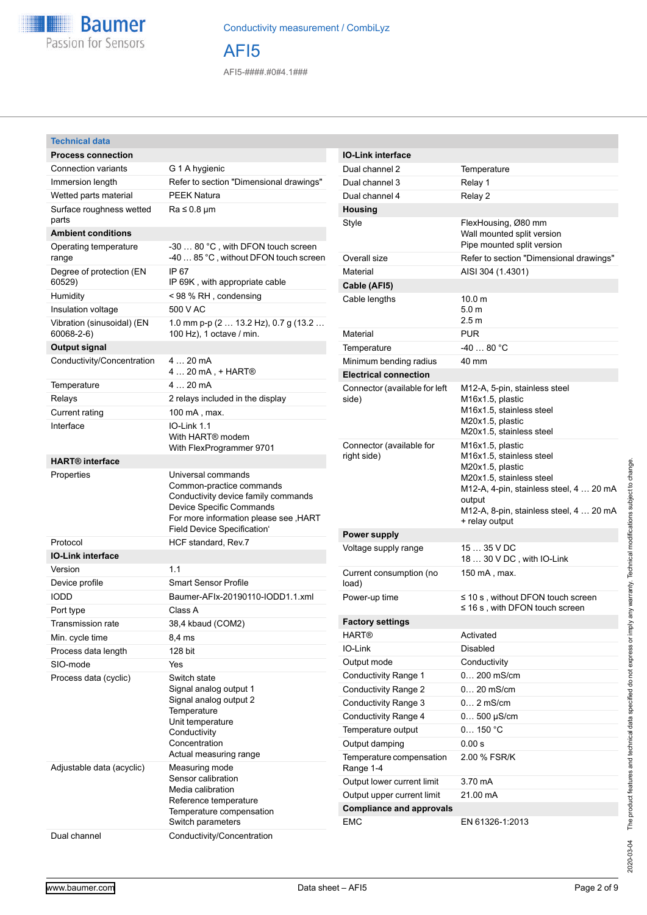

AFI5

AFI5-####.#0#4.1###

## **Technical data**

| <b>Process connection</b>                                                                                                                |                                                                             | <b>IO-Link interface</b>                |                                                                       |  |
|------------------------------------------------------------------------------------------------------------------------------------------|-----------------------------------------------------------------------------|-----------------------------------------|-----------------------------------------------------------------------|--|
| Connection variants                                                                                                                      | G 1 A hygienic                                                              | Dual channel 2                          | Temperature                                                           |  |
| Immersion length                                                                                                                         | Refer to section "Dimensional drawings"                                     | Dual channel 3                          | Relay 1                                                               |  |
| Wetted parts material                                                                                                                    | <b>PEEK Natura</b>                                                          | Dual channel 4                          | Relay 2                                                               |  |
| Surface roughness wetted                                                                                                                 | $Ra \leq 0.8$ µm                                                            | <b>Housing</b>                          |                                                                       |  |
| parts                                                                                                                                    |                                                                             | Style                                   | FlexHousing, Ø80 mm                                                   |  |
| <b>Ambient conditions</b>                                                                                                                |                                                                             |                                         | Wall mounted split version                                            |  |
| Operating temperature<br>range                                                                                                           | -30  80 °C, with DFON touch screen<br>-40  85 °C, without DFON touch screen | Overall size                            | Pipe mounted split version<br>Refer to section "Dimensional drawings" |  |
| Degree of protection (EN                                                                                                                 | IP 67                                                                       | Material                                | AISI 304 (1.4301)                                                     |  |
| 60529)                                                                                                                                   | IP 69K, with appropriate cable                                              | Cable (AFI5)                            |                                                                       |  |
| Humidity                                                                                                                                 | < 98 % RH, condensing                                                       | Cable lengths                           | 10.0 m                                                                |  |
| Insulation voltage                                                                                                                       | 500 V AC                                                                    |                                         | 5.0 <sub>m</sub>                                                      |  |
| Vibration (sinusoidal) (EN<br>60068-2-6)                                                                                                 | 1.0 mm p-p (2  13.2 Hz), 0.7 g (13.2<br>100 Hz), 1 octave / min.            | Material                                | 2.5 <sub>m</sub><br><b>PUR</b>                                        |  |
| <b>Output signal</b>                                                                                                                     |                                                                             | Temperature                             | $-4080 °C$                                                            |  |
| Conductivity/Concentration                                                                                                               | 420mA                                                                       | Minimum bending radius                  | 40 mm                                                                 |  |
|                                                                                                                                          | 4  20 mA, + HART®                                                           | <b>Electrical connection</b>            |                                                                       |  |
| Temperature                                                                                                                              | 4  20 mA                                                                    | Connector (available for left           | M12-A, 5-pin, stainless steel                                         |  |
| Relays                                                                                                                                   | 2 relays included in the display                                            | side)                                   | M16x1.5, plastic                                                      |  |
| Current rating                                                                                                                           | 100 mA, max.                                                                |                                         | M16x1.5, stainless steel                                              |  |
| Interface                                                                                                                                | IO-Link 1.1                                                                 |                                         | M20x1.5, plastic<br>M20x1.5, stainless steel                          |  |
|                                                                                                                                          | With HART <sup>®</sup> modem                                                | Connector (available for                | M16x1.5, plastic                                                      |  |
| With FlexProgrammer 9701                                                                                                                 |                                                                             | right side)                             | M16x1.5, stainless steel                                              |  |
| <b>HART®</b> interface                                                                                                                   | Universal commands                                                          |                                         | M20x1.5, plastic                                                      |  |
| Properties                                                                                                                               | Common-practice commands                                                    |                                         | M20x1.5, stainless steel                                              |  |
| Conductivity device family commands<br>Device Specific Commands<br>For more information please see , HART<br>Field Device Specification' |                                                                             |                                         | M12-A, 4-pin, stainless steel, 4  20 mA<br>output                     |  |
|                                                                                                                                          |                                                                             |                                         | M12-A, 8-pin, stainless steel, 4  20 mA                               |  |
|                                                                                                                                          |                                                                             |                                         | + relay output                                                        |  |
| Protocol                                                                                                                                 | HCF standard, Rev.7                                                         | <b>Power supply</b>                     |                                                                       |  |
| <b>IO-Link interface</b>                                                                                                                 |                                                                             | Voltage supply range                    | 15  35 V DC                                                           |  |
| Version                                                                                                                                  | 1.1                                                                         |                                         | 18  30 V DC, with IO-Link                                             |  |
| Device profile                                                                                                                           | <b>Smart Sensor Profile</b>                                                 | Current consumption (no<br>load)        | 150 mA, max.                                                          |  |
| <b>IODD</b>                                                                                                                              | Baumer-AFIx-20190110-IODD1.1.xml                                            | Power-up time                           | $\leq$ 10 s, without DFON touch screen                                |  |
| Port type                                                                                                                                | Class A                                                                     |                                         | $\leq$ 16 s, with DFON touch screen                                   |  |
| Transmission rate                                                                                                                        | 38,4 kbaud (COM2)                                                           | <b>Factory settings</b>                 |                                                                       |  |
| Min. cycle time                                                                                                                          | 8,4 ms                                                                      | <b>HART®</b>                            | Activated                                                             |  |
| Process data length                                                                                                                      | 128 bit                                                                     | IO-Link                                 | Disabled                                                              |  |
| SIO-mode                                                                                                                                 | Yes                                                                         | Output mode                             | Conductivity                                                          |  |
| Process data (cyclic)                                                                                                                    | Switch state                                                                | Conductivity Range 1                    | $0 200$ mS/cm                                                         |  |
|                                                                                                                                          | Signal analog output 1                                                      | Conductivity Range 2                    | $0 20$ mS/cm                                                          |  |
| Signal analog output 2                                                                                                                   |                                                                             | Conductivity Range 3                    | $0$ 2 mS/cm                                                           |  |
| Temperature<br>Unit temperature<br>Conductivity<br>Concentration                                                                         | Conductivity Range 4                                                        | $0 500 \mu S/cm$                        |                                                                       |  |
|                                                                                                                                          | Temperature output                                                          | 0150 °C                                 |                                                                       |  |
|                                                                                                                                          | Output damping                                                              | 0.00 s                                  |                                                                       |  |
|                                                                                                                                          | Actual measuring range                                                      | Temperature compensation                | 2.00 % FSR/K                                                          |  |
| Adjustable data (acyclic)                                                                                                                | Measuring mode<br>Sensor calibration                                        | Range 1-4<br>Output lower current limit |                                                                       |  |
|                                                                                                                                          | Media calibration                                                           |                                         | 3.70 mA                                                               |  |
|                                                                                                                                          | Reference temperature                                                       | Output upper current limit              | 21.00 mA                                                              |  |
|                                                                                                                                          | Temperature compensation                                                    | <b>Compliance and approvals</b>         |                                                                       |  |
| Switch parameters                                                                                                                        |                                                                             | <b>EMC</b>                              | EN 61326-1:2013                                                       |  |
| Dual channel                                                                                                                             | Conductivity/Concentration                                                  |                                         |                                                                       |  |

2020-03-04 The product features and technical data specified do not express or imply any warranty. Technical modifications subject to change.

2020-03-04 The product features and technical data specified do not express or imply any warranty. Technical modifications subject to change.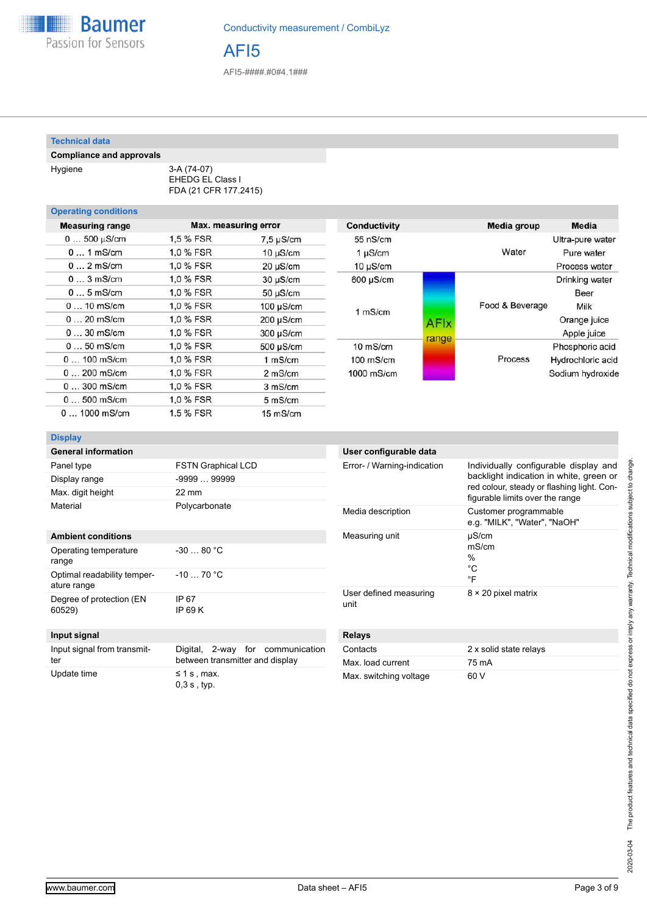

AFI5

AFI5-####.#0#4.1###

### **Technical data**

| Compliance and approvals |             |
|--------------------------|-------------|
| Hygiene                  | 3-A (74-07) |

EHEDG EL Class I FDA (21 CFR 177.2415)

| <b>Operating conditions</b> |           |                      |                |             |                 |
|-----------------------------|-----------|----------------------|----------------|-------------|-----------------|
| <b>Measuring range</b>      |           | Max. measuring error | Conductivity   |             | Media group     |
| $0500 \mu S/cm$             | 1,5 % FSR | $7.5 \mu$ S/cm       | 55 nS/cm       |             |                 |
| $0 1$ mS/cm                 | 1.0 % FSR | $10 \mu$ S/cm        | $1 \mu$ S/cm   |             | Water           |
| $0$ 2 mS/cm                 | 1.0 % FSR | $20 \mu S/cm$        | $10 \mu$ S/cm  |             |                 |
| $03$ mS/cm                  | 1,0 % FSR | $30 \mu S/cm$        | $600 \mu S/cm$ |             |                 |
| $05$ mS/cm                  | 1.0 % FSR | $50 \mu S/cm$        |                |             |                 |
| $010$ mS/cm                 | 1.0 % FSR | $100 \mu$ S/cm       | 1 mS/cm        |             | Food & Beverage |
| $020$ mS/cm                 | 1.0 % FSR | $200 \mu S/cm$       |                | <b>AFIx</b> |                 |
| $030$ mS/cm                 | 1.0 % FSR | $300 \mu$ S/cm       |                |             |                 |
| $050$ mS/cm                 | 1.0 % FSR | $500 \mu S/cm$       | $10$ mS/cm     | range       |                 |
| $0100$ mS/cm                | 1.0 % FSR | $1 \text{ mS/cm}$    | $100$ mS/cm    |             | Process         |
| $0200$ mS/cm                | 1.0 % FSR | 2 mS/cm              | 1000 mS/cm     |             |                 |
| $0300$ mS/cm                | 1.0 % FSR | 3 mS/cm              |                |             |                 |
| $0500$ mS/cm                | 1.0 % FSR | 5 mS/cm              |                |             |                 |
| $01000$ mS/cm               | 1.5 % FSR | $15 \text{ mS/cm}$   |                |             |                 |

## **Display**

| <b>General information</b> |                           |
|----------------------------|---------------------------|
| Panel type                 | <b>FSTN Graphical LCD</b> |
| Display range              | $-9999 - 99999$           |
| Max. digit height          | $22 \text{ mm}$           |
| Material                   | Polycarbonate             |
| Amhient conditions         |                           |

| Operating temperature<br>range             | $-3080 °C$       |
|--------------------------------------------|------------------|
| Optimal readability temper-<br>ature range | $-1070 °C$       |
| Degree of protection (EN<br>60529)         | IP 67<br>IP 69 K |

## **Input signal**

| Input signal from transmit- | Digital, 2-way for communication    |
|-----------------------------|-------------------------------------|
| ter                         | between transmitter and display     |
| Update time                 | $\leq$ 1 s . max.<br>$0.3 s$ , typ. |

| User configurable data         |                                                                                                                                                                   |
|--------------------------------|-------------------------------------------------------------------------------------------------------------------------------------------------------------------|
| Error- / Warning-indication    | Individually configurable display and<br>backlight indication in white, green or<br>red colour, steady or flashing light. Con-<br>figurable limits over the range |
| Media description              | Customer programmable<br>e.g. "MILK", "Water", "NaOH"                                                                                                             |
| Measuring unit                 | µS/cm<br>mS/cm<br>%<br>°C<br>°F                                                                                                                                   |
| User defined measuring<br>unit | $8 \times 20$ pixel matrix                                                                                                                                        |

## **Relays**

| Contacts               | 2 x solid state relays |
|------------------------|------------------------|
| Max. load current      | 75 mA                  |
| Max. switching voltage | 60 V                   |

Media Ultra-pure water Pure water Process water Drinking water Beer

Milk Orange juice Apple juice Phosphoric acid Hydrochloric acid Sodium hydroxide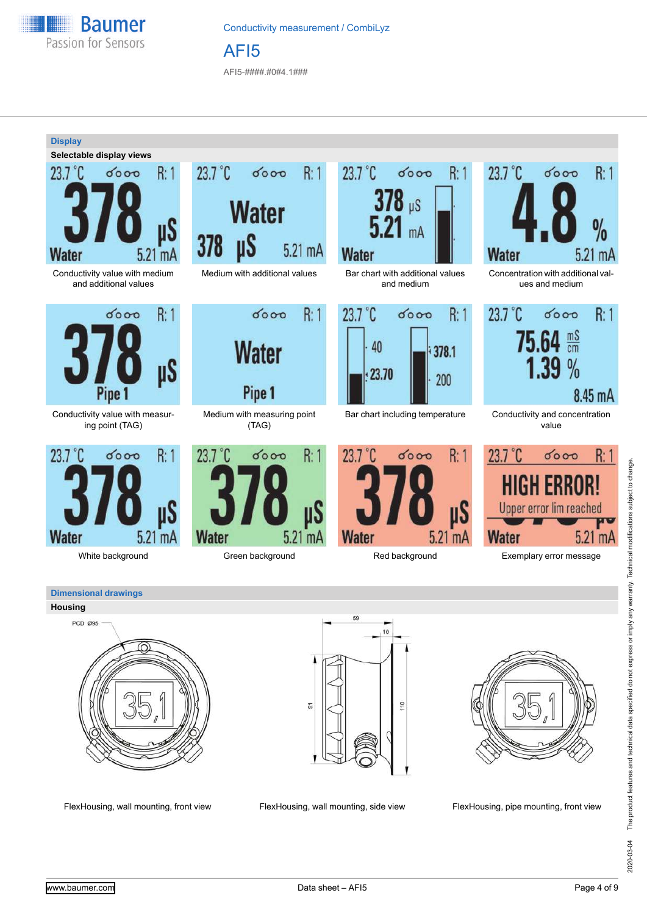

 $R:1$ 

AFI5-####.#0#4.1###

0000

 $237^\circ$ C

### **Display**



Conductivity value with medium and additional values



Conductivity value with measuring point (TAG)





Medium with measuring point (TAG)





and medium



Bar chart including temperature Conductivity and concentration



 $23.7^{\circ}$ C 0000  $R:1$ 70 **Water**  $5.21 \text{ mA}$ Concentration with additional values and medium



value



White background **Green background** Red background **Red background** Exemplary error message

2020-03-04 The product features and technical data specified do not express or imply any warranty. Technical modifications subject to change.

The product features and technical data specified do not express or imply any warranty. Technical modifications subject to change.





FlexHousing, wall mounting, front view FlexHousing, wall mounting, side view FlexHousing, pipe mounting, front view





2020-03-04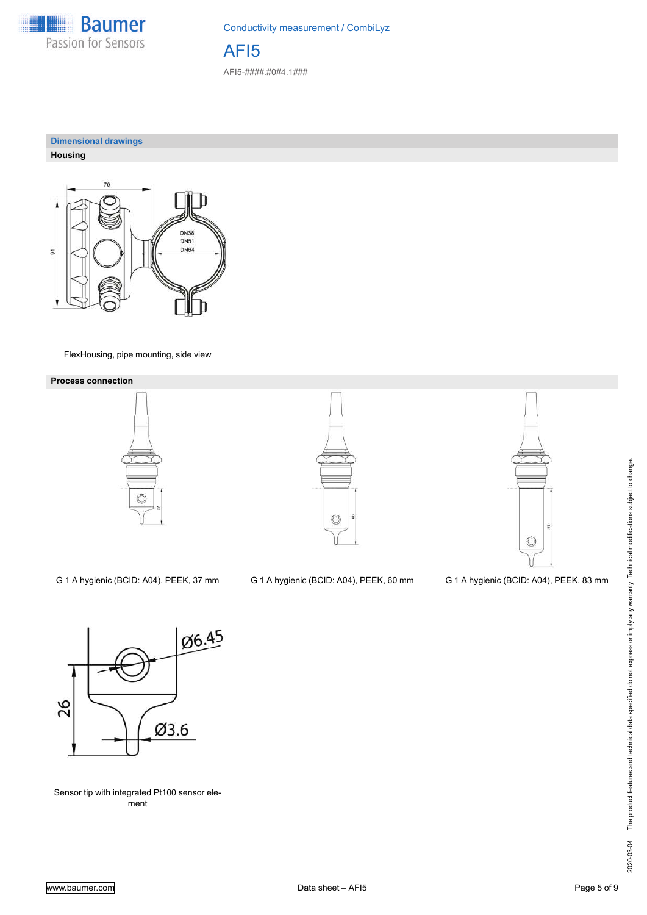

Conductivity measurement / CombiLyz AFI5 AFI5-####.#0#4.1###

**Dimensional drawings Housing**



FlexHousing, pipe mounting, side view

#### **Process connection**







G 1 A hygienic (BCID: A04), PEEK, 37 mm G 1 A hygienic (BCID: A04), PEEK, 60 mm G 1 A hygienic (BCID: A04), PEEK, 83 mm



Sensor tip with integrated Pt100 sensor element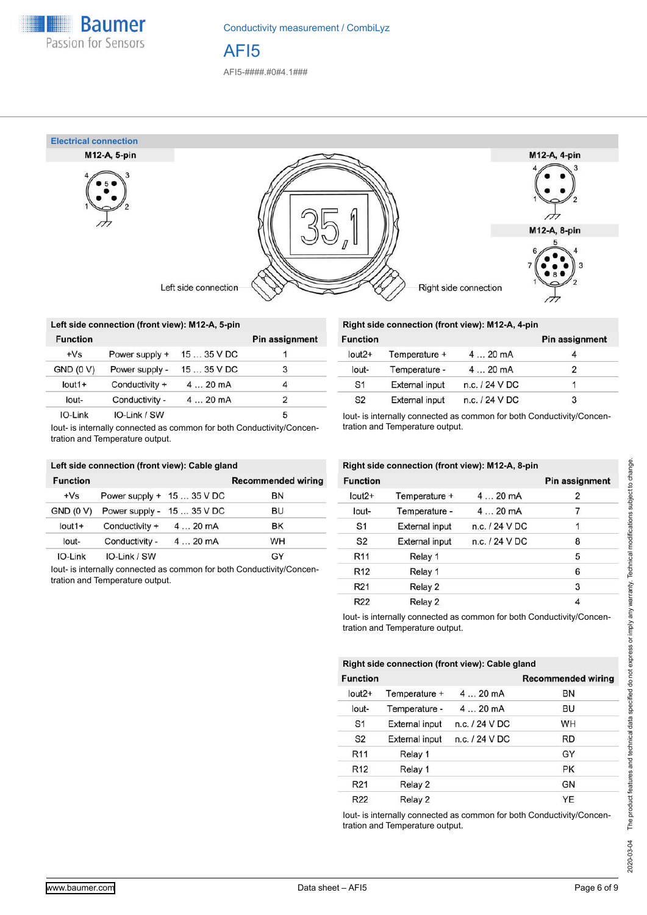

AFI5-####.#0#4.1###



|                 | Left side connection (front view): M12-A, 5-pin |             |                |
|-----------------|-------------------------------------------------|-------------|----------------|
| <b>Function</b> |                                                 |             | Pin assignment |
| $+Vs$           | Power supply +                                  | 15  35 V DC |                |
| GND(0 V)        | Power supply -                                  | $1535$ V DC | 3              |
| $I$ out1+       | Conductivity +                                  | 420mA       | 4              |
| lout-           | Conductivity -                                  | 420mA       | 2              |
| IO-Link         | IO-Link / SW                                    |             | 5              |

Iout- is internally connected as common for both Conductivity/Concentration and Temperature output.

|                  | Left side connection (front view): Cable gland |                            |                           |
|------------------|------------------------------------------------|----------------------------|---------------------------|
| <b>Function</b>  |                                                |                            | <b>Recommended wiring</b> |
| $+Vs$            | Power supply $+ 1535$ V DC                     |                            | ΒN                        |
| <b>GND (0 V)</b> |                                                | Power supply - $1535$ V DC | BU                        |
| $I$ out1+        | Conductivity +                                 | $420$ mA                   | ΒK                        |
| lout-            | Conductivity -                                 | 420mA                      | WH                        |
| IO-Link          | IO-Link / SW                                   |                            | GY                        |
|                  |                                                |                            |                           |

Iout- is internally connected as common for both Conductivity/Concentration and Temperature output.

## **Right side connection (front view): M12-A, 4-pin**

| <b>Function</b> |                       |                | <b>Pin assignment</b> |
|-----------------|-----------------------|----------------|-----------------------|
| $lout2+$        | Temperature +         | 420mA          |                       |
| lout-           | Temperature -         | 420mA          |                       |
| S <sub>1</sub>  | <b>External input</b> | n.c. / 24 V DC |                       |
| S <sub>2</sub>  | <b>External input</b> | n.c. / 24 V DC | 3                     |

Iout- is internally connected as common for both Conductivity/Concentration and Temperature output.

|                 | Right side connection (front view): M12-A, 8-pin |                  |                       |
|-----------------|--------------------------------------------------|------------------|-----------------------|
| <b>Function</b> |                                                  |                  | <b>Pin assignment</b> |
| $l$ out $2+$    | Temperature +                                    | 420mA            | 2                     |
| lout-           | Temperature -                                    | 420mA            | 7                     |
| S <sub>1</sub>  | <b>External input</b>                            | $n.c.$ / 24 V DC |                       |
| S <sub>2</sub>  | <b>External input</b>                            | n.c. / 24 V DC   | 8                     |
| R <sub>11</sub> | Relay 1                                          |                  | 5                     |
| R <sub>12</sub> | Relay 1                                          |                  | 6                     |
| R <sub>21</sub> | Relay 2                                          |                  | 3                     |
| R <sub>22</sub> | Relay 2                                          |                  | 4                     |

Iout- is internally connected as common for both Conductivity/Concentration and Temperature output.

|                 | Right side connection (front view): Cable gland |                  |                           |
|-----------------|-------------------------------------------------|------------------|---------------------------|
| <b>Function</b> |                                                 |                  | <b>Recommended wiring</b> |
| $lout2+$        | Temperature +                                   | 420mA            | BN                        |
| lout-           | Temperature -                                   | 420mA            | BU                        |
| S <sub>1</sub>  | <b>External input</b>                           | $n.c.$ / 24 V DC | WH                        |
| S <sub>2</sub>  | <b>External input</b>                           | $n.c.$ / 24 V DC | <b>RD</b>                 |
| R <sub>11</sub> | Relay 1                                         |                  | GY                        |
| R <sub>12</sub> | Relay 1                                         |                  | <b>PK</b>                 |
| R <sub>21</sub> | Relay 2                                         |                  | <b>GN</b>                 |
| R <sub>22</sub> | Relay 2                                         |                  | <b>YE</b>                 |

Iout- is internally connected as common for both Conductivity/Concentration and Temperature output.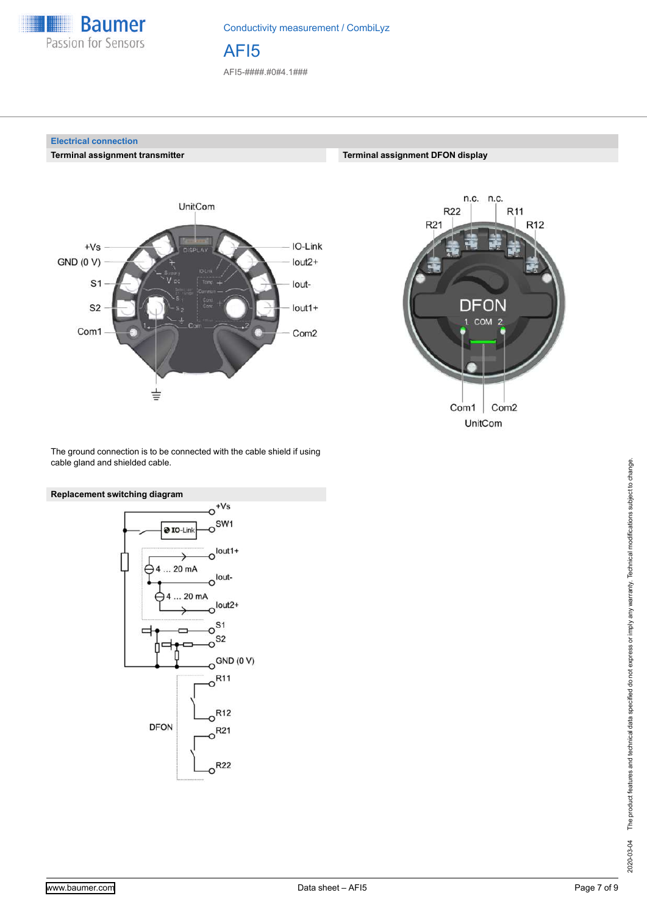

**Electrical connection**

**Terminal assignment transmitter**

Conductivity measurement / CombiLyz

AFI5

AFI5-####.#0#4.1###





**Terminal assignment DFON display**

The ground connection is to be connected with the cable shield if using cable gland and shielded cable.



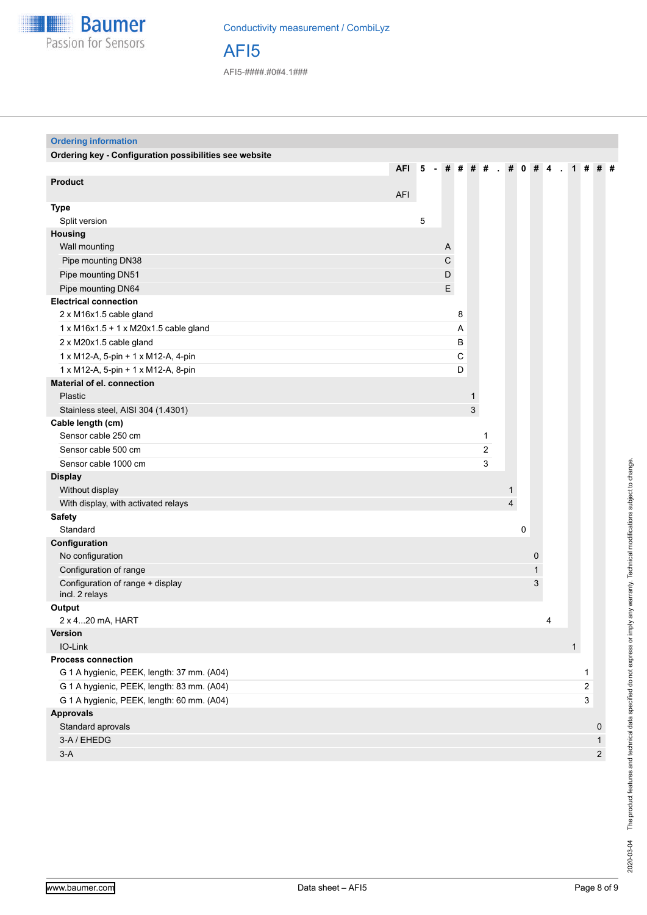

AFI5

AFI5-####.#0#4.1###

| <b>Ordering information</b>                            |     |   |                |       |              |              |                         |             |   |                |                |                |     |
|--------------------------------------------------------|-----|---|----------------|-------|--------------|--------------|-------------------------|-------------|---|----------------|----------------|----------------|-----|
| Ordering key - Configuration possibilities see website |     |   |                |       |              |              |                         |             |   |                |                |                |     |
|                                                        | AFI | 5 | $\blacksquare$ | $#$ # |              | #  #         | #                       | $\mathbf 0$ | # | $\overline{4}$ | 1#             |                | # # |
| <b>Product</b>                                         |     |   |                |       |              |              |                         |             |   |                |                |                |     |
|                                                        | AFI |   |                |       |              |              |                         |             |   |                |                |                |     |
| Type                                                   |     |   |                |       |              |              |                         |             |   |                |                |                |     |
| Split version                                          |     | 5 |                |       |              |              |                         |             |   |                |                |                |     |
| Housing                                                |     |   |                |       |              |              |                         |             |   |                |                |                |     |
| Wall mounting                                          |     |   | A              |       |              |              |                         |             |   |                |                |                |     |
| Pipe mounting DN38                                     |     |   | С              |       |              |              |                         |             |   |                |                |                |     |
| Pipe mounting DN51                                     |     |   | D              |       |              |              |                         |             |   |                |                |                |     |
| Pipe mounting DN64                                     |     |   | Е              |       |              |              |                         |             |   |                |                |                |     |
| <b>Electrical connection</b>                           |     |   |                |       |              |              |                         |             |   |                |                |                |     |
| 2 x M16x1.5 cable gland                                |     |   |                | 8     |              |              |                         |             |   |                |                |                |     |
| $1 \times M16x1.5 + 1 \times M20x1.5$ cable gland      |     |   |                | Α     |              |              |                         |             |   |                |                |                |     |
| 2 x M20x1.5 cable gland                                |     |   |                | B     |              |              |                         |             |   |                |                |                |     |
| 1 x M12-A, 5-pin + 1 x M12-A, 4-pin                    |     |   |                | C     |              |              |                         |             |   |                |                |                |     |
| 1 x M12-A, 5-pin + 1 x M12-A, 8-pin                    |     |   |                | D     |              |              |                         |             |   |                |                |                |     |
| Material of el. connection                             |     |   |                |       |              |              |                         |             |   |                |                |                |     |
| Plastic                                                |     |   |                |       | $\mathbf{1}$ |              |                         |             |   |                |                |                |     |
| Stainless steel, AISI 304 (1.4301)                     |     |   |                |       | $\mathsf 3$  |              |                         |             |   |                |                |                |     |
| Cable length (cm)                                      |     |   |                |       |              |              |                         |             |   |                |                |                |     |
| Sensor cable 250 cm                                    |     |   |                |       |              | $\mathbf{1}$ |                         |             |   |                |                |                |     |
| Sensor cable 500 cm                                    |     |   |                |       |              | 2            |                         |             |   |                |                |                |     |
| Sensor cable 1000 cm                                   |     |   |                |       |              | 3            |                         |             |   |                |                |                |     |
| <b>Display</b>                                         |     |   |                |       |              |              |                         |             |   |                |                |                |     |
| Without display                                        |     |   |                |       |              |              | 1                       |             |   |                |                |                |     |
| With display, with activated relays                    |     |   |                |       |              |              | $\overline{\mathbf{4}}$ |             |   |                |                |                |     |
| <b>Safety</b>                                          |     |   |                |       |              |              |                         |             |   |                |                |                |     |
| Standard                                               |     |   |                |       |              |              |                         | 0           |   |                |                |                |     |
| Configuration                                          |     |   |                |       |              |              |                         |             |   |                |                |                |     |
| No configuration                                       |     |   |                |       |              |              |                         |             | 0 |                |                |                |     |
| Configuration of range                                 |     |   |                |       |              |              |                         |             | 1 |                |                |                |     |
| Configuration of range + display                       |     |   |                |       |              |              |                         |             | 3 |                |                |                |     |
| incl. 2 relays                                         |     |   |                |       |              |              |                         |             |   |                |                |                |     |
| Output<br>2 x 420 mA, HART                             |     |   |                |       |              |              |                         |             |   | 4              |                |                |     |
| Version                                                |     |   |                |       |              |              |                         |             |   |                |                |                |     |
| IO-Link                                                |     |   |                |       |              |              |                         |             |   |                | $\mathbf{1}$   |                |     |
| <b>Process connection</b>                              |     |   |                |       |              |              |                         |             |   |                |                |                |     |
| G 1 A hygienic, PEEK, length: 37 mm. (A04)             |     |   |                |       |              |              |                         |             |   |                | 1              |                |     |
| G 1 A hygienic, PEEK, length: 83 mm. (A04)             |     |   |                |       |              |              |                         |             |   |                | $\overline{c}$ |                |     |
| G 1 A hygienic, PEEK, length: 60 mm. (A04)             |     |   |                |       |              |              |                         |             |   |                | 3              |                |     |
| <b>Approvals</b>                                       |     |   |                |       |              |              |                         |             |   |                |                |                |     |
| Standard aprovals                                      |     |   |                |       |              |              |                         |             |   |                |                | 0              |     |
| 3-A / EHEDG                                            |     |   |                |       |              |              |                         |             |   |                |                | $\mathbf{1}$   |     |
| $3-A$                                                  |     |   |                |       |              |              |                         |             |   |                |                | $\overline{c}$ |     |
|                                                        |     |   |                |       |              |              |                         |             |   |                |                |                |     |